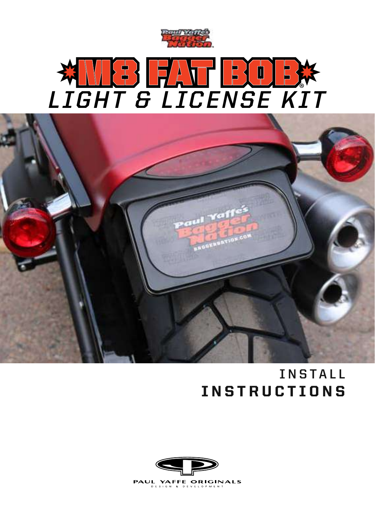

## M8 FAT BOB **LIGHT & LICENSE KIT** ®



## **INSTALL** INSTRUCTIONS

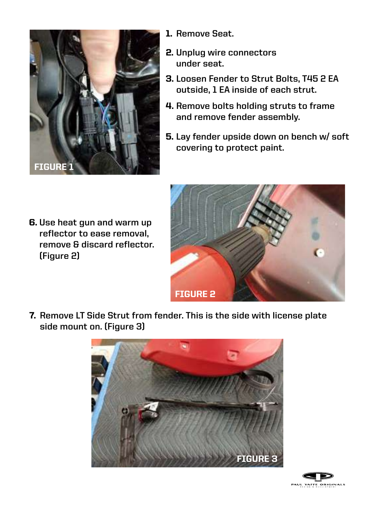

**Use heat gun and warm up**  6. **reflector to ease removal, remove & discard reflector. (Figure 2)**

- 1. **Remove Seat.**
- 2. **Unplug wire connectors under seat.**
- 3. **Loosen Fender to Strut Bolts, T45 2 EA outside, 1 EA inside of each strut.**
- 4. **Remove bolts holding struts to frame and remove fender assembly.**
- 5. **Lay fender upside down on bench w/ soft covering to protect paint.**



**Remove LT Side Strut from fender. This is the side with license plate**  7. **side mount on. (Figure 3)**



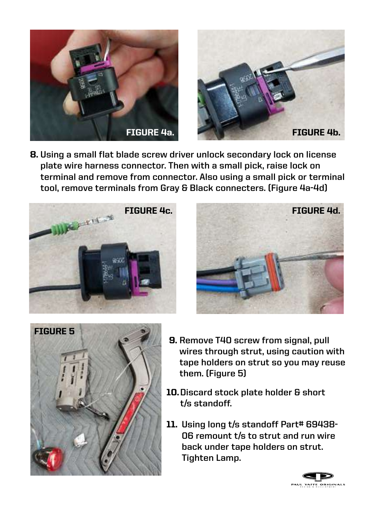



**Using a small flat blade screw driver unlock secondary lock on license**  8. **plate wire harness connector. Then with a small pick, raise lock on terminal and remove from connector. Also using a small pick or terminal tool, remove terminals from Gray & Black connecters. (Figure 4a-4d)**







- 9. **Remove T40 screw from signal, pull wires through strut, using caution with tape holders on strut so you may reuse them. (Figure 5)**
- **Discard stock plate holder & short**  10. **t/s standoff.**
- **Using long t/s standoff Part# 69438-** 11. **06 remount t/s to strut and run wire back under tape holders on strut. Tighten Lamp.**

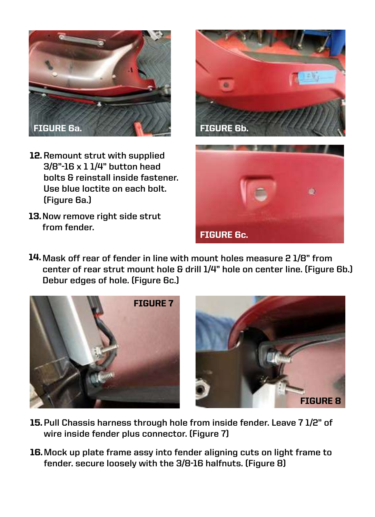

- 12. Remount strut with supplied **3/8"-16 x 1 1/4" button head bolts & reinstall inside fastener. Use blue loctite on each bolt. (Figure 6a.)**
- 13.**Now remove right side strut from fender.**





**Mask off rear of fender in line with mount holes measure 2 1/8" from**  14. **center of rear strut mount hole & drill 1/4" hole on center line. (Figure 6b.) Debur edges of hole. (Figure 6c.)**





- **Pull Chassis harness through hole from inside fender. Leave 7 1/2" of**  15. **wire inside fender plus connector. (Figure 7)**
- **Mock up plate frame assy into fender aligning cuts on light frame to**  16. **fender. secure loosely with the 3/8-16 halfnuts. (Figure 8)**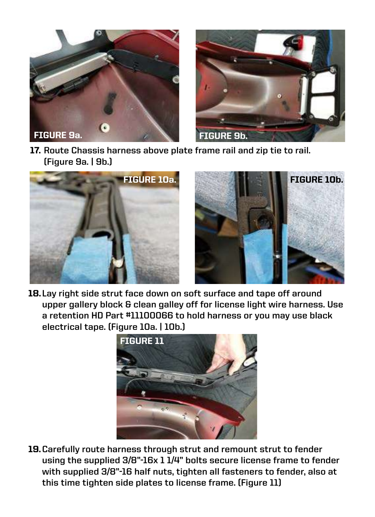



17. **Route Chassis harness above plate frame rail and zip tie to rail. (Figure 9a. | 9b.)**





18. **Lay right side strut face down on soft surface and tape off around upper gallery block & clean galley off for license light wire harness. Use a retention HD Part #11100066 to hold harness or you may use black electrical tape. (Figure 10a. | 10b.)**



19. **Carefully route harness through strut and remount strut to fender using the supplied 3/8"-16x 1 1/4" bolts secure license frame to fender with supplied 3/8"-16 half nuts, tighten all fasteners to fender, also at this time tighten side plates to license frame. (Figure 11)**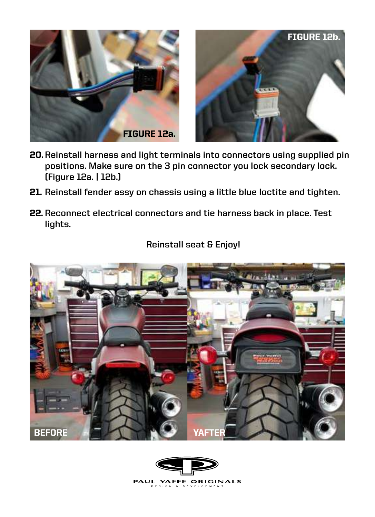



- **Reinstall harness and light terminals into connectors using supplied pin**  20. **positions. Make sure on the 3 pin connector you lock secondary lock. (Figure 12a. | 12b.)**
- **Reinstall fender assy on chassis using a little blue loctite and tighten.** 21.
- **Reconnect electrical connectors and tie harness back in place. Test**  22. **lights.**



## **Reinstall seat & Enjoy!**